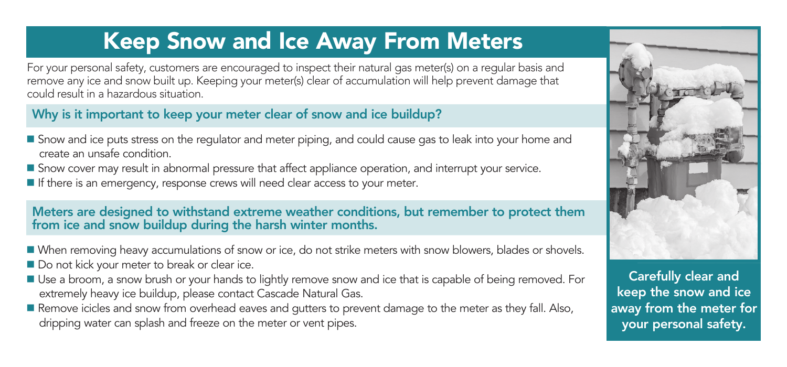# Keep Snow and Ice Away From Meters

For your personal safety, customers are encouraged to inspect their natural gas meter(s) on a regular basis and remove any ice and snow built up. Keeping your meter(s) clear of accumulation will help prevent damage that could result in a hazardous situation.

#### Why is it important to keep your meter clear of snow and ice buildup?

- Snow and ice puts stress on the regulator and meter piping, and could cause gas to leak into your home and create an unsafe condition.
- **S** Snow cover may result in abnormal pressure that affect appliance operation, and interrupt your service.
- If there is an emergency, response crews will need clear access to your meter.

Meters are designed to withstand extreme weather conditions, but remember to protect them from ice and snow buildup during the harsh winter months.

- When removing heavy accumulations of snow or ice, do not strike meters with snow blowers, blades or shovels.
- Do not kick your meter to break or clear ice.
- Use a broom, a snow brush or your hands to lightly remove snow and ice that is capable of being removed. For extremely heavy ice buildup, please contact Cascade Natural Gas.
- Remove icicles and snow from overhead eaves and gutters to prevent damage to the meter as they fall. Also, dripping water can splash and freeze on the meter or vent pipes.



Carefully clear and keep the snow and ice away from the meter for your personal safety.